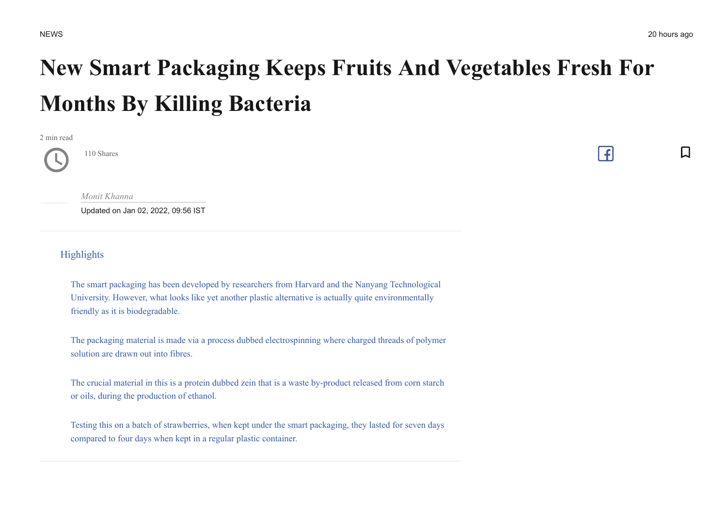$\Box$ 

 $\lceil \cdot \rceil$ 

## **New Smart Packaging Keeps Fruits And Vegetables Fresh For Months By Killing Bacteria**

2 min read

*[Monit Khanna](https://www.indiatimes.com/author/monit-khanna/2531)*

110 Shares

Updated on Jan 02, 2022, 09:56 IST

Highlights

[The smart packaging has been developed by researchers from Harvard and the Nanyang Technological](https://www.indiatimes.com/technology/news/smart-packaging-invention-harvard-nanyang-558145.html#highlight_78200) University. However, what looks like yet another plastic alternative is actually quite environmentally friendly as it is biodegradable.

[The packaging material is made via a process dubbed electrospinning where charged threads of polymer](https://www.indiatimes.com/technology/news/smart-packaging-invention-harvard-nanyang-558145.html#highlight_78201) solution are drawn out into fibres.

[The crucial material in this is a protein dubbed zein that is a waste by-product released from corn starch](https://www.indiatimes.com/technology/news/smart-packaging-invention-harvard-nanyang-558145.html#highlight_78202) or oils, during the production of ethanol.

[Testing this on a batch of strawberries, when kept under the smart packaging, they lasted for seven days](https://www.indiatimes.com/technology/news/smart-packaging-invention-harvard-nanyang-558145.html#highlight_78208) compared to four days when kept in a regular plastic container.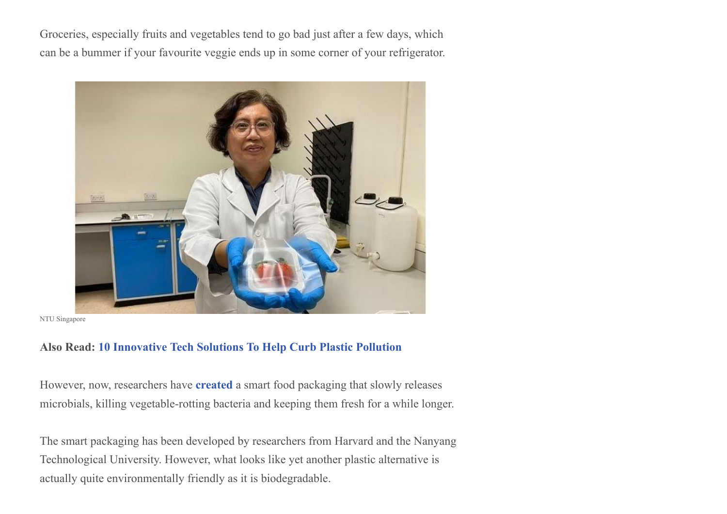Groceries, especially fruits and vegetables tend to go bad just after a few days, which can be a bummer if your favourite veggie ends up in some corner of your refrigerator.



NTU Singapore

## **Also Read: 10 [Innovative](https://www.indiatimes.com/technology/science-and-future/10-tech-solutions-plastic-pollution-544071.html) Tech Solutions To Help Curb Plastic Pollution**

However, now, researchers have **[created](https://pubs.acs.org/doi/10.1021/acsami.1c12319)** a smart food packaging that slowly releases microbials, killing vegetable-rotting bacteria and keeping them fresh for a while longer.

The smart packaging has been developed by researchers from Harvard and the Nanyang Technological University. However, what looks like yet another plastic alternative is actually quite environmentally friendly as it is biodegradable.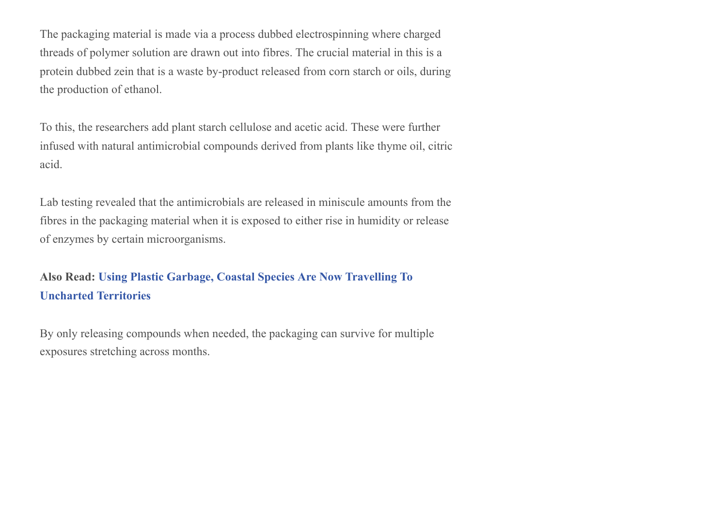The packaging material is made via a process dubbed electrospinning where charged threads of polymer solution are drawn out into fibres. The crucial material in this is a protein dubbed zein that is a waste by-product released from corn starch or oils, during the production of ethanol.

To this, the researchers add plant starch cellulose and acetic acid. These were further infused with natural antimicrobial compounds derived from plants like thyme oil, citric acid.

Lab testing revealed that the antimicrobials are released in miniscule amounts from the fibres in the packaging material when it is exposed to either rise in humidity or release of enzymes by certain microorganisms.

## **Also Read: Using Plastic Garbage, Coastal Species Are Now Travelling To Uncharted [Territories](https://www.indiatimes.com/technology/science-and-future/using-plastic-garbage-coastal-species-are-now-travelling-to-uncharted-territories-556523.html)**

By only releasing compounds when needed, the packaging can survive for multiple exposures stretching across months.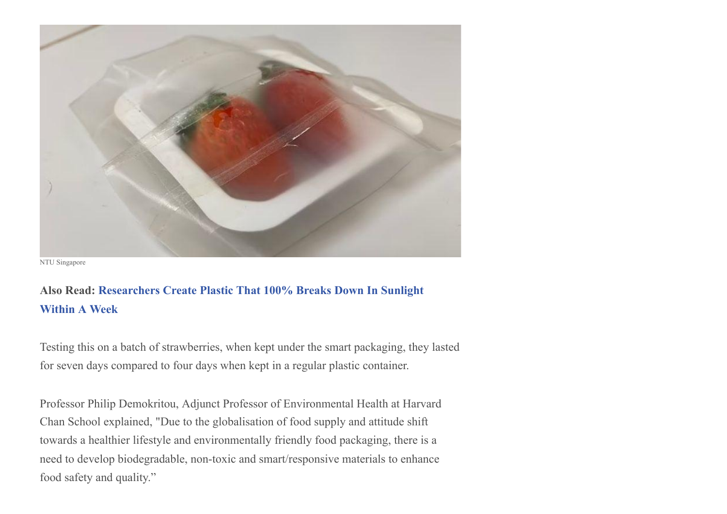

NTU Singapore

## **Also Read: [Researchers](https://www.indiatimes.com/technology/science-and-future/plastic-sunlight-disintegration-one-week-544896.html) Create Plastic That 100% Breaks Down In Sunlight Within A Week**

Testing this on a batch of strawberries, when kept under the smart packaging, they lasted for seven days compared to four days when kept in a regular plastic container.

Professor Philip Demokritou, Adjunct Professor of Environmental Health at Harvard Chan School explained, "Due to the globalisation of food supply and attitude shift towards a healthier lifestyle and environmentally friendly food packaging, there is a need to develop biodegradable, non-toxic and smart/responsive materials to enhance food safety and quality."